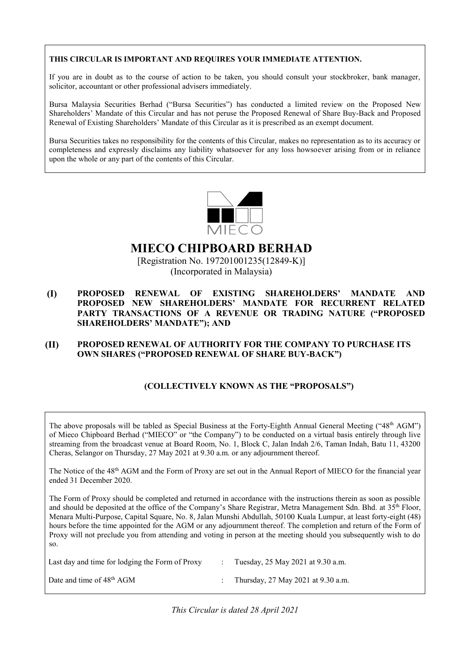#### **THIS CIRCULAR IS IMPORTANT AND REQUIRES YOUR IMMEDIATE ATTENTION.**

If you are in doubt as to the course of action to be taken, you should consult your stockbroker, bank manager, solicitor, accountant or other professional advisers immediately.

Bursa Malaysia Securities Berhad ("Bursa Securities") has conducted a limited review on the Proposed New Bursa Malaysia Securities Berhad ("Bursa Securities") has conducted a limited review on the Proposed New<br>Shareholders' Mandate of this Circular and has not peruse the Proposed Renewal of Share Buy-Back and Proposed Renewal of Existing Shareholders' Mandate of this Circular as it is prescribed as an exempt document.

Bursa Securities takes no responsibility for the contents of this Circular, makes no representation as to its accuracy or completeness and expressly disclaims any liability whatsoever for any loss howsoever arising from or in reliance upon the whole or any part of the contents of this Circular.



# **MIECO CHIPBOARD BERHAD**

[Registration No. 197201001235(12849-K)] (Incorporated in Malaysia)

# **(I) PROPOSED RENEWAL OF EXISTING SHAREHOLDERS' MANDATE AND PROPOSED NEW SHAREHOLDERS' MANDATE FOR RECURRENT RELATED PARTY TRANSACTIONS OF A REVENUE OR TRADING NATURE ("PROPOSED SHAREHOLDERS' MANDATE"); AND**

# **(II) PROPOSED RENEWAL OF AUTHORITY FOR THE COMPANY TO PURCHASE ITS OWN SHARES ("PROPOSED RENEWAL OF SHARE BUY-BACK")**

# **(COLLECTIVELY KNOWN AS THE "PROPOSALS")**

The above proposals will be tabled as Special Business at the Forty-Eighth Annual General Meeting ("48<sup>th</sup> AGM") of Mieco Chipboard Berhad ("MIECO" or "the Company") to be conducted on a virtual basis entirely through live streaming from the broadcast venue at Board Room, No. 1, Block C, Jalan Indah 2/6, Taman Indah, Batu 11, 43200 Cheras, Selangor on Thursday, 27 May 2021 at 9.30 a.m. or any adjournment thereof.

The Notice of the 48<sup>th</sup> AGM and the Form of Proxy are set out in the Annual Report of MIECO for the financial year ended 31 December 2020.

The Form of Proxy should be completed and returned in accordance with the instructions therein as soon as possible and should be deposited at the office of the Company's Share Registrar, Metra Management Sdn. Bhd. at 35<sup>th</sup> Floor, Menara Multi-Purpose, Capital Square, No. 8, Jalan Munshi Abdullah, 50100 Kuala Lumpur, at least forty-eight (48) hours before the time appointed for the AGM or any adjournment thereof. The completion and return of the Form of Proxy will not preclude you from attending and voting in person at the meeting should you subsequently wish to do so.

| Last day and time for lodging the Form of Proxy | Tuesday, 25 May 2021 at 9.30 a.m.  |
|-------------------------------------------------|------------------------------------|
| Date and time of 48 <sup>th</sup> AGM           | Thursday, 27 May 2021 at 9.30 a.m. |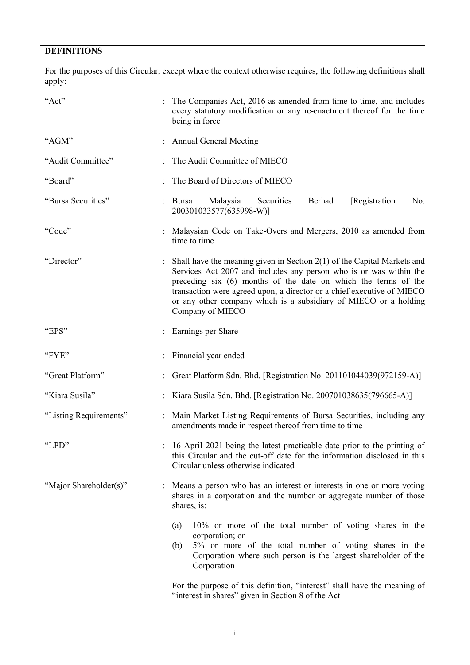# **DEFINITIONS**

For the purposes of this Circular, except where the context otherwise requires, the following definitions shall apply:

| "Act"                  | The Companies Act, 2016 as amended from time to time, and includes<br>every statutory modification or any re-enactment thereof for the time<br>being in force                                                                                                                                                                                                                       |
|------------------------|-------------------------------------------------------------------------------------------------------------------------------------------------------------------------------------------------------------------------------------------------------------------------------------------------------------------------------------------------------------------------------------|
| "AGM"                  | <b>Annual General Meeting</b>                                                                                                                                                                                                                                                                                                                                                       |
| "Audit Committee"      | The Audit Committee of MIECO                                                                                                                                                                                                                                                                                                                                                        |
| "Board"                | The Board of Directors of MIECO                                                                                                                                                                                                                                                                                                                                                     |
| "Bursa Securities"     | Malaysia<br>[Registration]<br>Securities<br>Berhad<br>No.<br>Bursa<br>200301033577(635998-W)]                                                                                                                                                                                                                                                                                       |
| "Code"                 | Malaysian Code on Take-Overs and Mergers, 2010 as amended from<br>time to time                                                                                                                                                                                                                                                                                                      |
| "Director"             | Shall have the meaning given in Section $2(1)$ of the Capital Markets and<br>Services Act 2007 and includes any person who is or was within the<br>preceding six (6) months of the date on which the terms of the<br>transaction were agreed upon, a director or a chief executive of MIECO<br>or any other company which is a subsidiary of MIECO or a holding<br>Company of MIECO |
| "EPS"                  | Earnings per Share                                                                                                                                                                                                                                                                                                                                                                  |
| "FYE"                  | Financial year ended                                                                                                                                                                                                                                                                                                                                                                |
| "Great Platform"       | Great Platform Sdn. Bhd. [Registration No. 201101044039(972159-A)]                                                                                                                                                                                                                                                                                                                  |
| "Kiara Susila"         | Kiara Susila Sdn. Bhd. [Registration No. 200701038635(796665-A)]                                                                                                                                                                                                                                                                                                                    |
| "Listing Requirements" | Main Market Listing Requirements of Bursa Securities, including any<br>amendments made in respect thereof from time to time                                                                                                                                                                                                                                                         |
| "LPD"                  | : 16 April 2021 being the latest practicable date prior to the printing of<br>this Circular and the cut-off date for the information disclosed in this<br>Circular unless otherwise indicated                                                                                                                                                                                       |
| "Major Shareholder(s)" | Means a person who has an interest or interests in one or more voting<br>shares in a corporation and the number or aggregate number of those<br>shares, is:                                                                                                                                                                                                                         |
|                        | 10% or more of the total number of voting shares in the<br>(a)<br>corporation; or<br>5% or more of the total number of voting shares in the<br>(b)<br>Corporation where such person is the largest shareholder of the<br>Corporation<br>For the purpose of this definition, "interest" shall have the meaning of                                                                    |

"interest in shares" given in Section 8 of the Act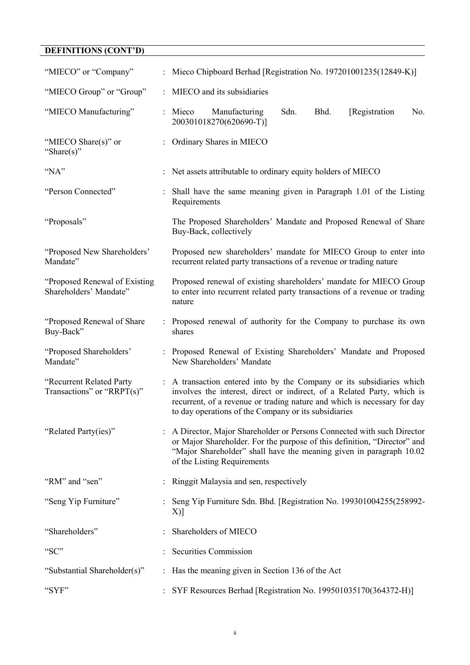# **DEFINITIONS (CONT'D)**

| "MIECO" or "Company"                                     | : Mieco Chipboard Berhad [Registration No. 197201001235(12849-K)]                                                                                                                                                                                                                    |
|----------------------------------------------------------|--------------------------------------------------------------------------------------------------------------------------------------------------------------------------------------------------------------------------------------------------------------------------------------|
| "MIECO Group" or "Group"                                 | MIECO and its subsidiaries                                                                                                                                                                                                                                                           |
| "MIECO Manufacturing"                                    | : Mieco<br>Manufacturing<br>Sdn.<br>Bhd.<br>[Registration]<br>No.<br>200301018270(620690-T)]                                                                                                                                                                                         |
| "MIECO Share(s)" or<br>"Share(s)"                        | Ordinary Shares in MIECO                                                                                                                                                                                                                                                             |
| "NA"                                                     | Net assets attributable to ordinary equity holders of MIECO                                                                                                                                                                                                                          |
| "Person Connected"                                       | Shall have the same meaning given in Paragraph 1.01 of the Listing<br>Requirements                                                                                                                                                                                                   |
| "Proposals"                                              | The Proposed Shareholders' Mandate and Proposed Renewal of Share<br>Buy-Back, collectively                                                                                                                                                                                           |
| "Proposed New Shareholders"<br>Mandate"                  | Proposed new shareholders' mandate for MIECO Group to enter into<br>recurrent related party transactions of a revenue or trading nature                                                                                                                                              |
| "Proposed Renewal of Existing"<br>Shareholders' Mandate" | Proposed renewal of existing shareholders' mandate for MIECO Group<br>to enter into recurrent related party transactions of a revenue or trading<br>nature                                                                                                                           |
| "Proposed Renewal of Share<br>Buy-Back"                  | Proposed renewal of authority for the Company to purchase its own<br>shares                                                                                                                                                                                                          |
| "Proposed Shareholders"<br>Mandate"                      | Proposed Renewal of Existing Shareholders' Mandate and Proposed<br>New Shareholders' Mandate                                                                                                                                                                                         |
| "Recurrent Related Party<br>Transactions" or "RRPT(s)"   | : A transaction entered into by the Company or its subsidiaries which<br>involves the interest, direct or indirect, of a Related Party, which is<br>recurrent, of a revenue or trading nature and which is necessary for day<br>to day operations of the Company or its subsidiaries |
| "Related Party(ies)"                                     | A Director, Major Shareholder or Persons Connected with such Director<br>or Major Shareholder. For the purpose of this definition, "Director" and<br>"Major Shareholder" shall have the meaning given in paragraph 10.02<br>of the Listing Requirements                              |
| "RM" and "sen"                                           | Ringgit Malaysia and sen, respectively                                                                                                                                                                                                                                               |
| "Seng Yip Furniture"                                     | Seng Yip Furniture Sdn. Bhd. [Registration No. 199301004255(258992-<br>X)]                                                                                                                                                                                                           |
| "Shareholders"                                           | Shareholders of MIECO                                                                                                                                                                                                                                                                |
| "SC"                                                     | Securities Commission                                                                                                                                                                                                                                                                |
| "Substantial Shareholder(s)"                             | Has the meaning given in Section 136 of the Act                                                                                                                                                                                                                                      |
| "SYF"                                                    | SYF Resources Berhad [Registration No. 199501035170(364372-H)]                                                                                                                                                                                                                       |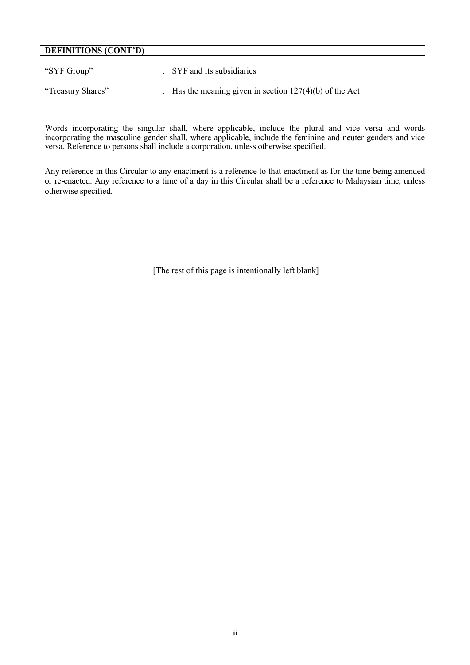# **DEFINITIONS (CONT'D)**

| "SYF Group"       | $:$ SYF and its subsidiaries                              |
|-------------------|-----------------------------------------------------------|
| "Treasury Shares" | : Has the meaning given in section $127(4)(b)$ of the Act |

Words incorporating the singular shall, where applicable, include the plural and vice versa and words incorporating the masculine gender shall, where applicable, include the feminine and neuter genders and vice versa. Reference to persons shall include a corporation, unless otherwise specified.

Any reference in this Circular to any enactment is a reference to that enactment as for the time being amended or re-enacted. Any reference to a time of a day in this Circular shall be a reference to Malaysian time, unless otherwise specified.

[The rest of this page is intentionally left blank]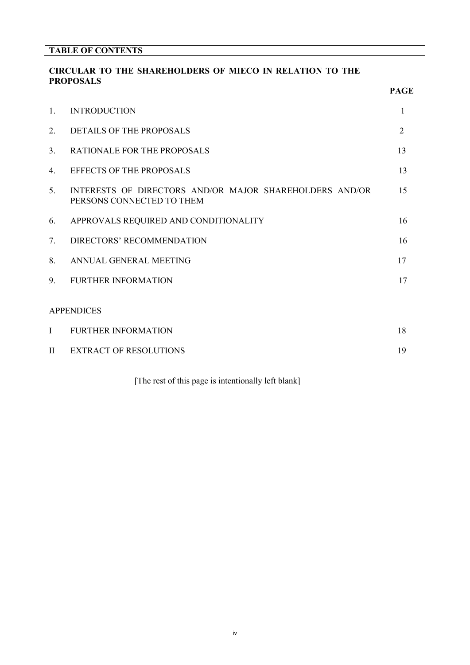# **CIRCULAR TO THE SHAREHOLDERS OF MIECO IN RELATION TO THE PROPOSALS**

|                | I IVAL OPALIS                                                                        | <b>PAGE</b>    |
|----------------|--------------------------------------------------------------------------------------|----------------|
| $\mathbf{1}$ . | <b>INTRODUCTION</b>                                                                  | 1              |
| 2.             | <b>DETAILS OF THE PROPOSALS</b>                                                      | $\overline{2}$ |
| 3.             | RATIONALE FOR THE PROPOSALS                                                          | 13             |
| 4.             | <b>EFFECTS OF THE PROPOSALS</b>                                                      | 13             |
| 5.             | INTERESTS OF DIRECTORS AND/OR MAJOR SHAREHOLDERS AND/OR<br>PERSONS CONNECTED TO THEM | 15             |
| 6.             | APPROVALS REQUIRED AND CONDITIONALITY                                                | 16             |
| 7.             | DIRECTORS' RECOMMENDATION                                                            | 16             |
| 8.             | ANNUAL GENERAL MEETING                                                               | 17             |
| 9.             | <b>FURTHER INFORMATION</b>                                                           | 17             |
|                | <b>APPENDICES</b>                                                                    |                |
| $\mathbf I$    | <b>FURTHER INFORMATION</b>                                                           | 18             |
| $\mathbf{I}$   | <b>EXTRACT OF RESOLUTIONS</b>                                                        | 19             |

[The rest of this page is intentionally left blank]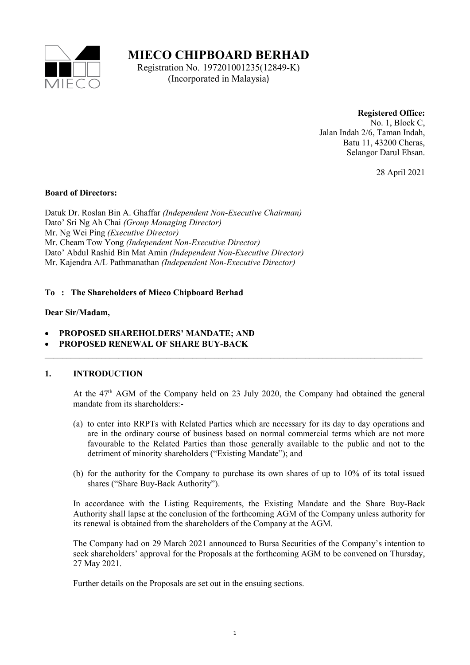

**MIECO CHIPBOARD BERHAD**

Registration No. 197201001235(12849-K) (Incorporated in Malaysia)

# **Registered Office:**

No. 1, Block C, Jalan Indah 2/6, Taman Indah, Batu 11, 43200 Cheras, Selangor Darul Ehsan.

28 April 2021

#### **Board of Directors:**

Datuk Dr. Roslan Bin A. Ghaffar *(Independent Non-Executive Chairman)* Dato' Sri Ng Ah Chai *(Group Managing Director)* Mr. Ng Wei Ping *(Executive Director)* Mr. Cheam Tow Yong *(Independent Non-Executive Director)* Dato' Abdul Rashid Bin Mat Amin *(Independent Non-Executive Director)* Mr. Kajendra A/L Pathmanathan *(Independent Non-Executive Director)*

# **To : The Shareholders of Mieco Chipboard Berhad**

# **Dear Sir/Madam,**

- **PROPOSED SHAREHOLDERS' MANDATE; AND**
- **PROPOSED RENEWAL OF SHARE BUY-BACK \_\_\_\_\_\_\_\_\_\_\_\_\_\_\_\_\_\_\_\_\_\_\_\_\_\_\_\_\_\_\_\_\_\_\_\_\_\_\_\_\_\_\_\_\_\_\_\_\_\_\_\_\_\_\_\_\_\_\_\_\_\_\_\_\_\_\_\_\_\_\_\_\_\_\_\_\_\_\_\_\_\_\_\_\_\_\_**

# **1. INTRODUCTION**

At the 47<sup>th</sup> AGM of the Company held on 23 July 2020, the Company had obtained the general mandate from its shareholders:-

- (a) to enter into RRPTs with Related Parties which are necessary for its day to day operations and are in the ordinary course of business based on normal commercial terms which are not more favourable to the Related Parties than those generally available to the public and not to the detriment of minority shareholders ("Existing Mandate"); and
- (b) for the authority for the Company to purchase its own shares of up to 10% of its total issued shares ("Share Buy-Back Authority").

In accordance with the Listing Requirements, the Existing Mandate and the Share Buy-Back Authority shall lapse at the conclusion of the forthcoming AGM of the Company unless authority for its renewal is obtained from the shareholders of the Company at the AGM.

The Company had on 29 March 2021 announced to Bursa Securities of the Company's intention to seek shareholders' approval for the Proposals at the forthcoming AGM to be convened on Thursday, 27 May 2021.

Further details on the Proposals are set out in the ensuing sections.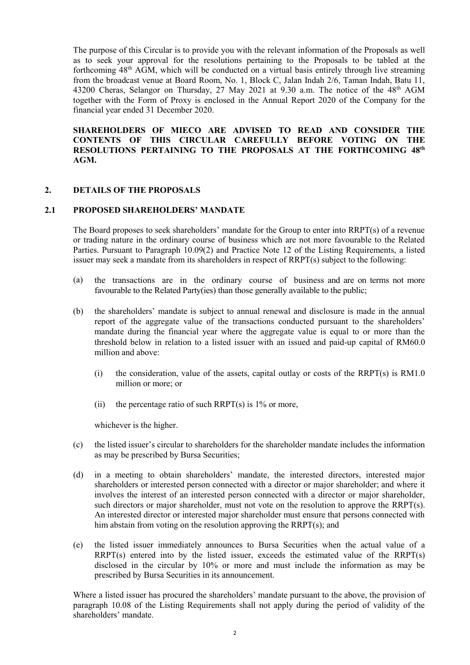The purpose of this Circular is to provide you with the relevant information of the Proposals as well as to seek your approval for the resolutions pertaining to the Proposals to be tabled at the forthcoming  $48<sup>th</sup>$  AGM, which will be conducted on a virtual basis entirely through live streaming from the broadcast venue at Board Room, No. 1, Block C, Jalan Indah 2/6, Taman Indah, Batu 11, 43200 Cheras, Selangor on Thursday, 27 May 2021 at 9.30 a.m. The notice of the  $48<sup>th</sup>$  AGM together with the Form of Proxy is enclosed in the Annual Report 2020 of the Company for the financial year ended 31 December 2020.

**SHAREHOLDERS OF MIECO ARE ADVISED TO READ AND CONSIDER THE CONTENTS OF THIS CIRCULAR CAREFULLY BEFORE VOTING ON THE RESOLUTIONS PERTAINING TO THE PROPOSALS AT THE FORTHCOMING 48th AGM.**

# **2. DETAILS OF THE PROPOSALS**

#### **2.1 PROPOSED SHAREHOLDERS' MANDATE**

The Board proposes to seek shareholders' mandate for the Group to enter into RRPT(s) of a revenue or trading nature in the ordinary course of business which are not more favourable to the Related Parties. Pursuant to Paragraph 10.09(2) and Practice Note 12 of the Listing Requirements, a listed issuer may seek a mandate from its shareholders in respect of RRPT(s) subject to the following:

- (a) the transactions are in the ordinary course of business and are on terms not more favourable to the Related Party(ies) than those generally available to the public;
- (b) the shareholders' mandate is subject to annual renewal and disclosure is made in the annual report of the aggregate value of the transactions conducted pursuant to the shareholders' mandate during the financial year where the aggregate value is equal to or more than the threshold below in relation to a listed issuer with an issued and paid-up capital of RM60.0 million and above:
	- (i) the consideration, value of the assets, capital outlay or costs of the RRPT(s) is RM1.0 million or more; or
	- (ii) the percentage ratio of such RRPT(s) is  $1\%$  or more,

whichever is the higher.

- (c) the listed issuer's circular to shareholders for the shareholder mandate includes the information as may be prescribed by Bursa Securities;
- (d) in a meeting to obtain shareholders' mandate, the interested directors, interested major shareholders or interested person connected with a director or major shareholder; and where it involves the interest of an interested person connected with a director or major shareholder, such directors or major shareholder, must not vote on the resolution to approve the RRPT(s). An interested director or interested major shareholder must ensure that persons connected with him abstain from voting on the resolution approving the RRPT(s); and
- (e) the listed issuer immediately announces to Bursa Securities when the actual value of a RRPT(s) entered into by the listed issuer, exceeds the estimated value of the RRPT(s) disclosed in the circular by 10% or more and must include the information as may be prescribed by Bursa Securities in its announcement.

Where a listed issuer has procured the shareholders' mandate pursuant to the above, the provision of paragraph 10.08 of the Listing Requirements shall not apply during the period of validity of the shareholders' mandate.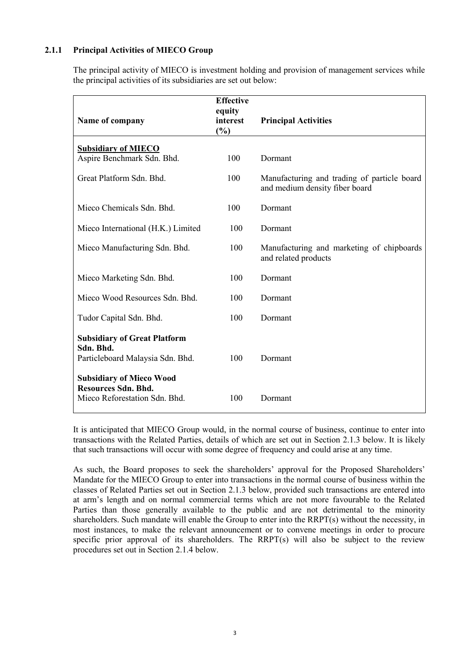# **2.1.1 Principal Activities of MIECO Group**

The principal activity of MIECO is investment holding and provision of management services while the principal activities of its subsidiaries are set out below:

| Name of company                                                                                | <b>Effective</b><br>equity<br>interest<br>(%) | <b>Principal Activities</b>                                                   |
|------------------------------------------------------------------------------------------------|-----------------------------------------------|-------------------------------------------------------------------------------|
| <b>Subsidiary of MIECO</b>                                                                     |                                               |                                                                               |
| Aspire Benchmark Sdn. Bhd.                                                                     | 100                                           | Dormant                                                                       |
| Great Platform Sdn. Bhd.                                                                       | 100                                           | Manufacturing and trading of particle board<br>and medium density fiber board |
| Mieco Chemicals Sdn. Bhd.                                                                      | 100                                           | Dormant                                                                       |
| Mieco International (H.K.) Limited                                                             | 100                                           | Dormant                                                                       |
| Mieco Manufacturing Sdn. Bhd.                                                                  | 100                                           | Manufacturing and marketing of chipboards<br>and related products             |
| Mieco Marketing Sdn. Bhd.                                                                      | 100                                           | Dormant                                                                       |
| Mieco Wood Resources Sdn. Bhd.                                                                 | 100                                           | Dormant                                                                       |
| Tudor Capital Sdn. Bhd.                                                                        | 100                                           | Dormant                                                                       |
| <b>Subsidiary of Great Platform</b><br>Sdn. Bhd.<br>Particleboard Malaysia Sdn. Bhd.           | 100                                           | Dormant                                                                       |
| <b>Subsidiary of Mieco Wood</b><br><b>Resources Sdn. Bhd.</b><br>Mieco Reforestation Sdn. Bhd. | 100                                           | Dormant                                                                       |

It is anticipated that MIECO Group would, in the normal course of business, continue to enter into transactions with the Related Parties, details of which are set out in Section 2.1.3 below. It is likely that such transactions will occur with some degree of frequency and could arise at any time.

As such, the Board proposes to seek the shareholders' approval for the Proposed Shareholders' Mandate for the MIECO Group to enter into transactions in the normal course of business within the classes of Related Parties set out in Section 2.1.3 below, provided such transactions are entered into at arm's length and on normal commercial terms which are not more favourable to the Related Parties than those generally available to the public and are not detrimental to the minority shareholders. Such mandate will enable the Group to enter into the RRPT(s) without the necessity, in most instances, to make the relevant announcement or to convene meetings in order to procure specific prior approval of its shareholders. The RRPT(s) will also be subject to the review procedures set out in Section 2.1.4 below.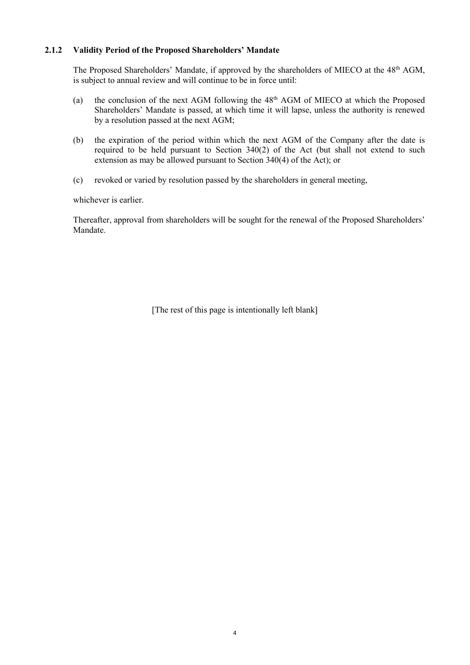# **2.1.2 Validity Period of the Proposed Shareholders' Mandate**

The Proposed Shareholders' Mandate, if approved by the shareholders of MIECO at the 48<sup>th</sup> AGM, is subject to annual review and will continue to be in force until:

- (a) the conclusion of the next AGM following the  $48<sup>th</sup>$  AGM of MIECO at which the Proposed Shareholders' Mandate is passed, at which time it will lapse, unless the authority is renewed by a resolution passed at the next AGM;
- (b) the expiration of the period within which the next AGM of the Company after the date is required to be held pursuant to Section 340(2) of the Act (but shall not extend to such extension as may be allowed pursuant to Section 340(4) of the Act); or
- (c) revoked or varied by resolution passed by the shareholders in general meeting,

whichever is earlier.

Thereafter, approval from shareholders will be sought for the renewal of the Proposed Shareholders' Mandate.

[The rest of this page is intentionally left blank]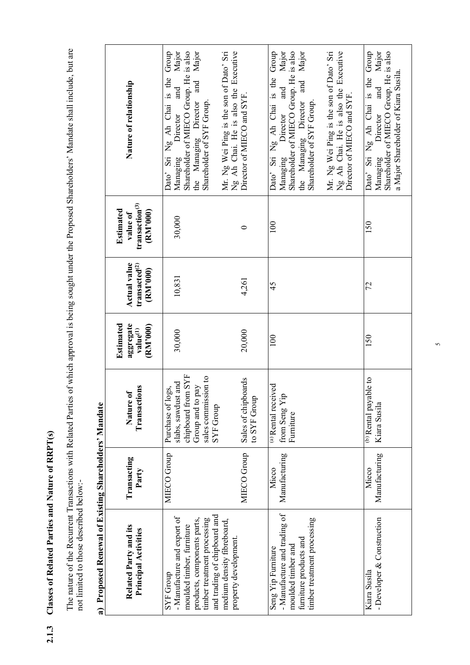Classes of Related Parties and Nature of RRPT(s) **2.1.3 Classes of Related Parties and Nature of RRPT(s)**  $2.1.3$  The nature of the Recurrent Transactions with Related Parties of which approval is being sought under the Proposed Shareholders' Mandate shall include, but are not limited to those described below:-The nature of the Recurrent Transactions with Related Parties of which approval is being sought under the Proposed Shareholders' Mandate shall include, but are not limited to those described below:-

|                                                       | Nature of relationship                                          | and Major<br>Shareholder of MIECO Group. He is also<br>the Managing Director and Major<br>Dato' Sri Ng Ah Chai is the Group<br>Mr. Ng Wei Ping is the son of Dato' Sri<br>Shareholder of SYF Group.<br>Managing Director | Ng Ah Chai. He is also the Executive<br>Director of MIECO and SYF. | the Managing Director and Major<br>Dato' Sri Ng Ah Chai is the Group<br>and Major<br>Shareholder of MIECO Group. He is also<br>Shareholder of SYF Group.<br>Managing Director | Mr. Ng Wei Ping is the son of Dato' Sri<br>Ng Ah Chai. He is also the Executive<br>Director of MIECO and SYF. | and Major<br>Dato' Sri Ng Ah Chai is the Group<br>Shareholder of MIECO Group. He is also<br>a Major Shareholder of Kiara Susila.<br>Managing Director |
|-------------------------------------------------------|-----------------------------------------------------------------|--------------------------------------------------------------------------------------------------------------------------------------------------------------------------------------------------------------------------|--------------------------------------------------------------------|-------------------------------------------------------------------------------------------------------------------------------------------------------------------------------|---------------------------------------------------------------------------------------------------------------|-------------------------------------------------------------------------------------------------------------------------------------------------------|
|                                                       | transaction <sup>(3)</sup><br>Estimated<br>(RM'000)<br>value of | 30,000                                                                                                                                                                                                                   | 0                                                                  | 100                                                                                                                                                                           |                                                                                                               | 50                                                                                                                                                    |
|                                                       | Actual value<br>transacted <sup>(2)</sup><br>(RM'000)           | 10,831                                                                                                                                                                                                                   | 4,261                                                              | 45                                                                                                                                                                            |                                                                                                               | 72                                                                                                                                                    |
|                                                       | Estimated<br>aggregate<br>(RM'000)<br>value <sup>(1)</sup>      | 30,000                                                                                                                                                                                                                   | 20,000                                                             | 100                                                                                                                                                                           |                                                                                                               | 150                                                                                                                                                   |
|                                                       | Transactions<br>፟፟<br>Nature                                    | chipboard from SYF<br>sales commission to<br>slabs, sawdust and<br>Group and to pay<br>Purchase of logs,<br>SYF Group                                                                                                    | Sales of chipboards<br>to SYF Group                                | (a) Rental received<br>from Seng Yip<br>Furniture                                                                                                                             |                                                                                                               | (b) Rental payable to<br>Kiara Susila                                                                                                                 |
|                                                       | Transacting<br>Party                                            | MIECO Group                                                                                                                                                                                                              | MIECO Group                                                        | Manufacturing<br>Mieco                                                                                                                                                        |                                                                                                               | Manufacturing<br>Mieco                                                                                                                                |
| a) Proposed Renewal of Existing Shareholders' Mandate | Related Party and its<br><b>Principal Activities</b>            | and trading of chipboard and<br>- Manufacture and export of<br>timber treatment processing<br>products, components parts,<br>medium density fibreboard,<br>moulded timber, furniture<br>SYF Group                        | property development.                                              | - Manufacture and trading of<br>timber treatment processing<br>furniture products and<br>moulded timber and<br>Seng Yip Furniture                                             |                                                                                                               | - Developer & Construction<br>Kiara Susila                                                                                                            |

oxial of Existing Sharaholdors' Mondata and Dan n Prop  $\sim$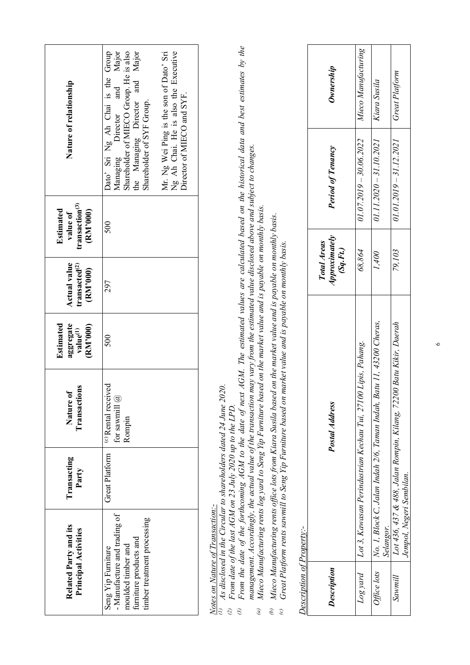|                                                                                                   | Related Party and its<br><b>Principal Activities</b> | Transacting<br>Party                                                                                                         | Transactions<br>Nature of                                                                                                                                                                                                                                                                                                                                                                                                                                                                        | Estimated<br>aggregate<br>(RM'000)<br>value <sup>(1)</sup> | <b>Actual value</b><br>transacted <sup>(2)</sup><br>(RM'000) | transaction <sup>(3)</sup><br>Estimated<br>(RM'000)<br>value of |                                                                                                                             | Nature of relationship                                                                                                                                                         |
|---------------------------------------------------------------------------------------------------|------------------------------------------------------|------------------------------------------------------------------------------------------------------------------------------|--------------------------------------------------------------------------------------------------------------------------------------------------------------------------------------------------------------------------------------------------------------------------------------------------------------------------------------------------------------------------------------------------------------------------------------------------------------------------------------------------|------------------------------------------------------------|--------------------------------------------------------------|-----------------------------------------------------------------|-----------------------------------------------------------------------------------------------------------------------------|--------------------------------------------------------------------------------------------------------------------------------------------------------------------------------|
| timber treatment processing<br>furniture products and<br>moulded timber and<br>Seng Yip Furniture | - Manufacture and trading of                         | Great Platform                                                                                                               | (c) Rental received<br>for sawmill $@$<br>Rompin                                                                                                                                                                                                                                                                                                                                                                                                                                                 | 500                                                        | 297                                                          | 500                                                             | Dato' Sri Ng Ah Chai is the<br>Director of MIECO and SYF.<br>the Managing Director<br>Shareholder of SYF Group.<br>Managing | Group<br>Major<br>Shareholder of MIECO Group. He is also<br>Major<br>Mr. Ng Wei Ping is the son of Dato' Sri<br>Ng Ah Chai. He is also the Executive<br>and<br>and<br>Director |
| Description of Property:-<br>$\widehat{c}$<br>$\overline{3}$<br>$\widehat{e}$<br>Ф)<br>$\odot$    | Notes on Nature of Transaction:-                     | As disclosed in the Circular to shareholders dated 24 June 2020.<br>From date of the last AGM on 23 July 2020 up to the LPD. | management. Accordingly, the actual value of the transaction may vary from the estimated value disclosed above and subject to changes.<br>Mieco Manufacturing rents log yard to Seng Yip Furniture based on the market value and is payable on monthly basis.<br>Mieco Manufacturing rents office lots from Kiara Susila based on the market value and is payable on monthly basis.<br>Great Platform rents sawmill to Seng Yip Furniture based on market value and is payable on monthly basis. |                                                            |                                                              |                                                                 |                                                                                                                             | From the date of the forthcoming AGM to the date of next AGM. The estimated values are calculated based on the historical data and best estimates by the                       |
| <b>Description</b>                                                                                |                                                      |                                                                                                                              | Postal Address                                                                                                                                                                                                                                                                                                                                                                                                                                                                                   |                                                            | <b>Approximately</b><br>Total Areas<br>(SqFt)                |                                                                 | <b>Period of Tenancy</b>                                                                                                    | Ownership                                                                                                                                                                      |
| puná 807                                                                                          |                                                      |                                                                                                                              | Lot 3, Kawasan Perindustrian Kechau Tui, 27100 Lipis, Pahang.                                                                                                                                                                                                                                                                                                                                                                                                                                    |                                                            | 68,864                                                       |                                                                 | $01.07.2019 - 30.06.2022$                                                                                                   | Mieco Manufacturing                                                                                                                                                            |
| Office lots<br>$S$ awmill                                                                         | Selangor.                                            |                                                                                                                              | No. 1, Block C, Jalan Indah 2/6, Taman Indah, Batu 11, 43200 Cheras,<br>Lot 436, 437 & 488, Jalan Rompin, Kilang, 72200 Batu Kikir, Daerah                                                                                                                                                                                                                                                                                                                                                       |                                                            | 79,103<br>1,400                                              |                                                                 | 01.11.2020 - 31.10.2021<br>$01.01.2019 - 31.12.2021$                                                                        | Great Platform<br>Kiara Susila                                                                                                                                                 |
|                                                                                                   | Jempol, Negeri Sembilan.                             |                                                                                                                              |                                                                                                                                                                                                                                                                                                                                                                                                                                                                                                  |                                                            |                                                              |                                                                 |                                                                                                                             |                                                                                                                                                                                |

 $\circ$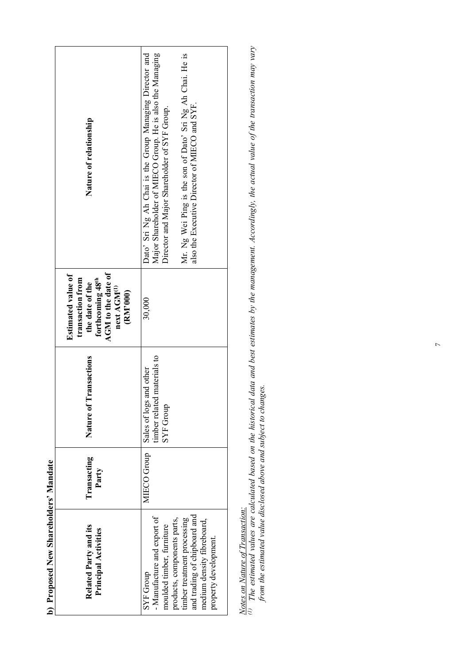|                                       | Nature of relationship                                                                                                                     | Dato' Sri Ng Ah Chai is the Group Managing Director and<br>Major Shareholder of MIECO Group. He is also the Managing<br>Mr. Ng Wei Ping is the son of Dato' Sri Ng Ah Chai. He is<br>also the Executive Director of MIECO and SYF.<br>Director and Major Shareholder of SYF Group. |
|---------------------------------------|--------------------------------------------------------------------------------------------------------------------------------------------|------------------------------------------------------------------------------------------------------------------------------------------------------------------------------------------------------------------------------------------------------------------------------------|
|                                       | AGM to the date of<br>Estimated value of<br>transaction from<br>forthcoming 48th<br>the date of the<br>next AGM <sup>(1)</sup><br>(RM'000) | 30,000                                                                                                                                                                                                                                                                             |
|                                       | <b>Tansactions</b><br>Nature of 1                                                                                                          | timber related materials to<br>Sales of logs and other<br><b>SYF Group</b>                                                                                                                                                                                                         |
|                                       | <b>Transacting</b><br>Party                                                                                                                | <b>MIECO</b> Group                                                                                                                                                                                                                                                                 |
| b) Proposed New Shareholders' Mandate | Related Party and its<br>Principal Activities                                                                                              | and trading of chipboard and<br>- Manufacture and export of<br>timber treatment processing<br>products, components parts,<br>medium density fibreboard,<br>moulded timber, furniture<br>property development.<br>SYF Group                                                         |

*Notes on Nature of Transaction:*

Notes on Nature of Transaction:<br>(1) The estimated values are calculated based on the historical data and best estimates by the management. Accordingly, the actual value of the transaction may vary<br>from the estimated value *(1) The estimated values are calculated based on the historical data and best estimates by the management. Accordingly, the actual value of the transaction may vary from the estimated value disclosed above and subject to changes.*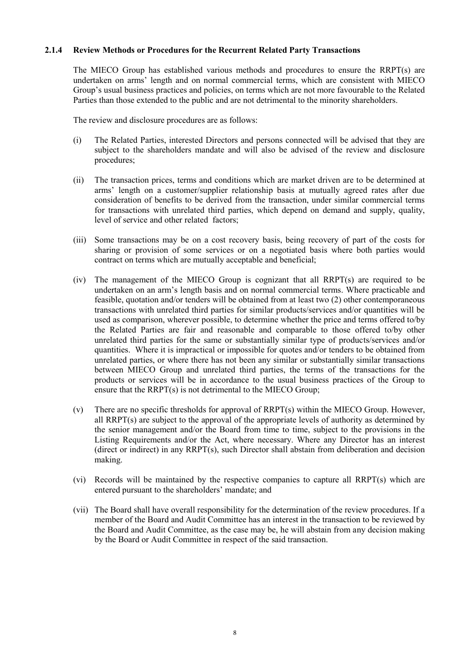## **2.1.4 Review Methods or Procedures for the Recurrent Related Party Transactions**

The MIECO Group has established various methods and procedures to ensure the RRPT(s) are undertaken on arms' length and on normal commercial terms, which are consistent with MIECO Group's usual business practices and policies, on terms which are not more favourable to the Related Parties than those extended to the public and are not detrimental to the minority shareholders.

The review and disclosure procedures are as follows:

- (i) The Related Parties, interested Directors and persons connected will be advised that they are subject to the shareholders mandate and will also be advised of the review and disclosure procedures;
- (ii) The transaction prices, terms and conditions which are market driven are to be determined at arms' length on a customer/supplier relationship basis at mutually agreed rates after due consideration of benefits to be derived from the transaction, under similar commercial terms for transactions with unrelated third parties, which depend on demand and supply, quality, level of service and other related factors;
- (iii) Some transactions may be on a cost recovery basis, being recovery of part of the costs for sharing or provision of some services or on a negotiated basis where both parties would contract on terms which are mutually acceptable and beneficial;
- (iv) The management of the MIECO Group is cognizant that all RRPT(s) are required to be undertaken on an arm's length basis and on normal commercial terms. Where practicable and feasible, quotation and/or tenders will be obtained from at least two (2) other contemporaneous transactions with unrelated third parties for similar products/services and/or quantities will be used as comparison, wherever possible, to determine whether the price and terms offered to/by the Related Parties are fair and reasonable and comparable to those offered to/by other unrelated third parties for the same or substantially similar type of products/services and/or quantities. Where it is impractical or impossible for quotes and/or tenders to be obtained from unrelated parties, or where there has not been any similar or substantially similar transactions between MIECO Group and unrelated third parties, the terms of the transactions for the products or services will be in accordance to the usual business practices of the Group to ensure that the RRPT(s) is not detrimental to the MIECO Group;
- (v) There are no specific thresholds for approval of RRPT(s) within the MIECO Group. However, all RRPT(s) are subject to the approval of the appropriate levels of authority as determined by the senior management and/or the Board from time to time, subject to the provisions in the Listing Requirements and/or the Act, where necessary. Where any Director has an interest (direct or indirect) in any RRPT(s), such Director shall abstain from deliberation and decision making.
- (vi) Records will be maintained by the respective companies to capture all RRPT(s) which are entered pursuant to the shareholders' mandate; and
- (vii) The Board shall have overall responsibility for the determination of the review procedures. If a member of the Board and Audit Committee has an interest in the transaction to be reviewed by the Board and Audit Committee, as the case may be, he will abstain from any decision making by the Board or Audit Committee in respect of the said transaction.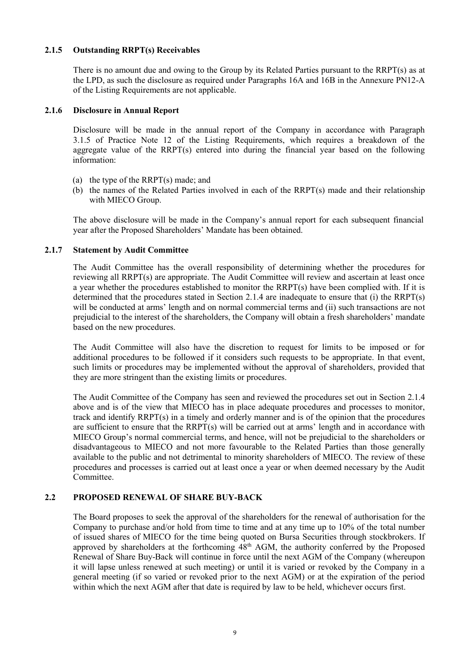## **2.1.5 Outstanding RRPT(s) Receivables**

There is no amount due and owing to the Group by its Related Parties pursuant to the RRPT(s) as at the LPD, as such the disclosure as required under Paragraphs 16A and 16B in the Annexure PN12-A of the Listing Requirements are not applicable.

#### **2.1.6 Disclosure in Annual Report**

Disclosure will be made in the annual report of the Company in accordance with Paragraph 3.1.5 of Practice Note 12 of the Listing Requirements, which requires a breakdown of the aggregate value of the RRPT(s) entered into during the financial year based on the following information:

- (a) the type of the RRPT(s) made; and
- (b) the names of the Related Parties involved in each of the RRPT(s) made and their relationship with MIECO Group.

The above disclosure will be made in the Company's annual report for each subsequent financial year after the Proposed Shareholders' Mandate has been obtained.

# **2.1.7 Statement by Audit Committee**

The Audit Committee has the overall responsibility of determining whether the procedures for reviewing all RRPT(s) are appropriate. The Audit Committee will review and ascertain at least once a year whether the procedures established to monitor the RRPT(s) have been complied with. If it is determined that the procedures stated in Section 2.1.4 are inadequate to ensure that (i) the RRPT(s) will be conducted at arms' length and on normal commercial terms and (ii) such transactions are not prejudicial to the interest of the shareholders, the Company will obtain a fresh shareholders' mandate based on the new procedures.

The Audit Committee will also have the discretion to request for limits to be imposed or for additional procedures to be followed if it considers such requests to be appropriate. In that event, such limits or procedures may be implemented without the approval of shareholders, provided that they are more stringent than the existing limits or procedures.

The Audit Committee of the Company has seen and reviewed the procedures set out in Section 2.1.4 above and is of the view that MIECO has in place adequate procedures and processes to monitor, track and identify RRPT(s) in a timely and orderly manner and is of the opinion that the procedures are sufficient to ensure that the RRPT(s) will be carried out at arms' length and in accordance with MIECO Group's normal commercial terms, and hence, will not be prejudicial to the shareholders or disadvantageous to MIECO and not more favourable to the Related Parties than those generally available to the public and not detrimental to minority shareholders of MIECO. The review of these procedures and processes is carried out at least once a year or when deemed necessary by the Audit Committee.

# **2.2 PROPOSED RENEWAL OF SHARE BUY-BACK**

The Board proposes to seek the approval of the shareholders for the renewal of authorisation for the Company to purchase and/or hold from time to time and at any time up to 10% of the total number of issued shares of MIECO for the time being quoted on Bursa Securities through stockbrokers. If approved by shareholders at the forthcoming 48<sup>th</sup> AGM, the authority conferred by the Proposed Renewal of Share Buy-Back will continue in force until the next AGM of the Company (whereupon it will lapse unless renewed at such meeting) or until it is varied or revoked by the Company in a general meeting (if so varied or revoked prior to the next AGM) or at the expiration of the period within which the next AGM after that date is required by law to be held, whichever occurs first.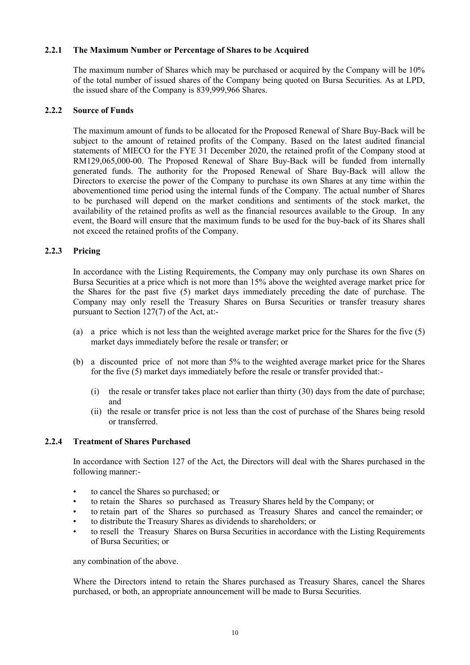## **2.2.1 The Maximum Number or Percentage of Shares to be Acquired**

The maximum number of Shares which may be purchased or acquired by the Company will be 10% of the total number of issued shares of the Company being quoted on Bursa Securities. As at LPD, the issued share of the Company is 839,999,966 Shares.

## **2.2.2 Source of Funds**

The maximum amount of funds to be allocated for the Proposed Renewal of Share Buy-Back will be subject to the amount of retained profits of the Company. Based on the latest audited financial statements of MIECO for the FYE 31 December 2020, the retained profit of the Company stood at RM129,065,000-00. The Proposed Renewal of Share Buy-Back will be funded from internally generated funds. The authority for the Proposed Renewal of Share Buy-Back will allow the Directors to exercise the power of the Company to purchase its own Shares at any time within the abovementioned time period using the internal funds of the Company. The actual number of Shares to be purchased will depend on the market conditions and sentiments of the stock market, the availability of the retained profits as well as the financial resources available to the Group. In any event, the Board will ensure that the maximum funds to be used for the buy-back of its Shares shall not exceed the retained profits of the Company.

# **2.2.3 Pricing**

In accordance with the Listing Requirements, the Company may only purchase its own Shares on Bursa Securities at a price which is not more than 15% above the weighted average market price for the Shares for the past five (5) market days immediately preceding the date of purchase. The Company may only resell the Treasury Shares on Bursa Securities or transfer treasury shares pursuant to Section 127(7) of the Act, at:-

- (a) a price which is not less than the weighted average market price for the Shares for the five (5) market days immediately before the resale or transfer; or
- (b) a discounted price of not more than 5% to the weighted average market price for the Shares for the five (5) market days immediately before the resale or transfer provided that:-
	- (i) the resale or transfer takes place not earlier than thirty (30) days from the date of purchase; and
	- (ii) the resale or transfer price is not less than the cost of purchase of the Shares being resold or transferred.

# **2.2.4 Treatment of Shares Purchased**

In accordance with Section 127 of the Act, the Directors will deal with the Shares purchased in the following manner:-

- to cancel the Shares so purchased; or
- to retain the Shares so purchased as Treasury Shares held by the Company; or
- to retain part of the Shares so purchased as Treasury Shares and cancel the remainder; or
- to distribute the Treasury Shares as dividends to shareholders; or
- to resell the Treasury Shares on Bursa Securities in accordance with the Listing Requirements of Bursa Securities; or

any combination of the above.

Where the Directors intend to retain the Shares purchased as Treasury Shares, cancel the Shares purchased, or both, an appropriate announcement will be made to Bursa Securities.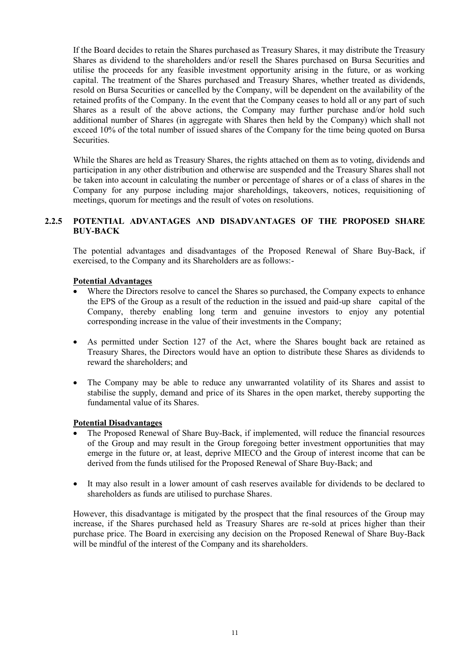If the Board decides to retain the Shares purchased as Treasury Shares, it may distribute the Treasury Shares as dividend to the shareholders and/or resell the Shares purchased on Bursa Securities and utilise the proceeds for any feasible investment opportunity arising in the future, or as working capital. The treatment of the Shares purchased and Treasury Shares, whether treated as dividends, resold on Bursa Securities or cancelled by the Company, will be dependent on the availability of the retained profits of the Company. In the event that the Company ceases to hold all or any part of such Shares as a result of the above actions, the Company may further purchase and/or hold such additional number of Shares (in aggregate with Shares then held by the Company) which shall not exceed 10% of the total number of issued shares of the Company for the time being quoted on Bursa Securities.

While the Shares are held as Treasury Shares, the rights attached on them as to voting, dividends and participation in any other distribution and otherwise are suspended and the Treasury Shares shall not be taken into account in calculating the number or percentage of shares or of a class of shares in the Company for any purpose including major shareholdings, takeovers, notices, requisitioning of meetings, quorum for meetings and the result of votes on resolutions.

# **2.2.5 POTENTIAL ADVANTAGES AND DISADVANTAGES OF THE PROPOSED SHARE BUY-BACK**

The potential advantages and disadvantages of the Proposed Renewal of Share Buy-Back, if exercised, to the Company and its Shareholders are as follows:-

# **Potential Advantages**

- Where the Directors resolve to cancel the Shares so purchased, the Company expects to enhance the EPS of the Group as a result of the reduction in the issued and paid-up share capital of the Company, thereby enabling long term and genuine investors to enjoy any potential corresponding increase in the value of their investments in the Company;
- As permitted under Section 127 of the Act, where the Shares bought back are retained as Treasury Shares, the Directors would have an option to distribute these Shares as dividends to reward the shareholders; and
- The Company may be able to reduce any unwarranted volatility of its Shares and assist to stabilise the supply, demand and price of its Shares in the open market, thereby supporting the fundamental value of its Shares.

#### **Potential Disadvantages**

- The Proposed Renewal of Share Buy-Back, if implemented, will reduce the financial resources of the Group and may result in the Group foregoing better investment opportunities that may emerge in the future or, at least, deprive MIECO and the Group of interest income that can be derived from the funds utilised for the Proposed Renewal of Share Buy-Back; and
- It may also result in a lower amount of cash reserves available for dividends to be declared to shareholders as funds are utilised to purchase Shares.

However, this disadvantage is mitigated by the prospect that the final resources of the Group may increase, if the Shares purchased held as Treasury Shares are re-sold at prices higher than their purchase price. The Board in exercising any decision on the Proposed Renewal of Share Buy-Back will be mindful of the interest of the Company and its shareholders.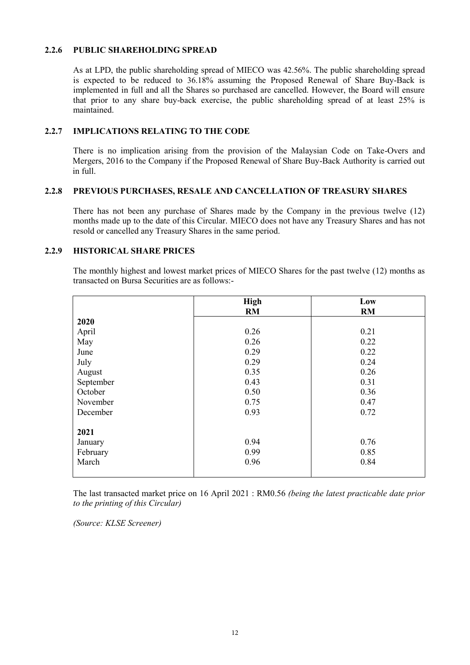# **2.2.6 PUBLIC SHAREHOLDING SPREAD**

As at LPD, the public shareholding spread of MIECO was 42.56%. The public shareholding spread is expected to be reduced to 36.18% assuming the Proposed Renewal of Share Buy-Back is implemented in full and all the Shares so purchased are cancelled. However, the Board will ensure that prior to any share buy-back exercise, the public shareholding spread of at least 25% is maintained.

## **2.2.7 IMPLICATIONS RELATING TO THE CODE**

There is no implication arising from the provision of the Malaysian Code on Take-Overs and Mergers, 2016 to the Company if the Proposed Renewal of Share Buy-Back Authority is carried out in full.

#### **2.2.8 PREVIOUS PURCHASES, RESALE AND CANCELLATION OF TREASURY SHARES**

There has not been any purchase of Shares made by the Company in the previous twelve (12) months made up to the date of this Circular. MIECO does not have any Treasury Shares and has not resold or cancelled any Treasury Shares in the same period.

#### **2.2.9 HISTORICAL SHARE PRICES**

The monthly highest and lowest market prices of MIECO Shares for the past twelve (12) months as transacted on Bursa Securities are as follows:-

|           | <b>High</b> | Low       |
|-----------|-------------|-----------|
|           | RM          | <b>RM</b> |
| 2020      |             |           |
| April     | 0.26        | 0.21      |
| May       | 0.26        | 0.22      |
| June      | 0.29        | 0.22      |
| July      | 0.29        | 0.24      |
| August    | 0.35        | 0.26      |
| September | 0.43        | 0.31      |
| October   | 0.50        | 0.36      |
| November  | 0.75        | 0.47      |
| December  | 0.93        | 0.72      |
|           |             |           |
| 2021      |             |           |
| January   | 0.94        | 0.76      |
| February  | 0.99        | 0.85      |
| March     | 0.96        | 0.84      |
|           |             |           |

The last transacted market price on 16 April 2021 : RM0.56 *(being the latest practicable date prior to the printing of this Circular)*

*(Source: KLSE Screener)*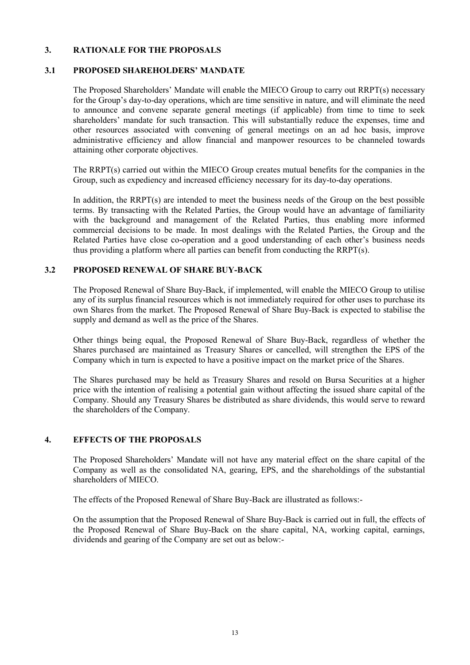## **3. RATIONALE FOR THE PROPOSALS**

## **3.1 PROPOSED SHAREHOLDERS' MANDATE**

The Proposed Shareholders' Mandate will enable the MIECO Group to carry out RRPT(s) necessary for the Group's day-to-day operations, which are time sensitive in nature, and will eliminate the need to announce and convene separate general meetings (if applicable) from time to time to seek shareholders' mandate for such transaction. This will substantially reduce the expenses, time and other resources associated with convening of general meetings on an ad hoc basis, improve administrative efficiency and allow financial and manpower resources to be channeled towards attaining other corporate objectives.

The RRPT(s) carried out within the MIECO Group creates mutual benefits for the companies in the Group, such as expediency and increased efficiency necessary for its day-to-day operations.

In addition, the RRPT(s) are intended to meet the business needs of the Group on the best possible terms. By transacting with the Related Parties, the Group would have an advantage of familiarity with the background and management of the Related Parties, thus enabling more informed commercial decisions to be made. In most dealings with the Related Parties, the Group and the Related Parties have close co-operation and a good understanding of each other's business needs thus providing a platform where all parties can benefit from conducting the RRPT(s).

# **3.2 PROPOSED RENEWAL OF SHARE BUY-BACK**

The Proposed Renewal of Share Buy-Back, if implemented, will enable the MIECO Group to utilise any of its surplus financial resources which is not immediately required for other uses to purchase its own Shares from the market. The Proposed Renewal of Share Buy-Back is expected to stabilise the supply and demand as well as the price of the Shares.

Other things being equal, the Proposed Renewal of Share Buy-Back, regardless of whether the Shares purchased are maintained as Treasury Shares or cancelled, will strengthen the EPS of the Company which in turn is expected to have a positive impact on the market price of the Shares.

The Shares purchased may be held as Treasury Shares and resold on Bursa Securities at a higher price with the intention of realising a potential gain without affecting the issued share capital of the Company. Should any Treasury Shares be distributed as share dividends, this would serve to reward the shareholders of the Company.

#### **4. EFFECTS OF THE PROPOSALS**

The Proposed Shareholders' Mandate will not have any material effect on the share capital of the Company as well as the consolidated NA, gearing, EPS, and the shareholdings of the substantial shareholders of MIECO.

The effects of the Proposed Renewal of Share Buy-Back are illustrated as follows:-

On the assumption that the Proposed Renewal of Share Buy-Back is carried out in full, the effects of the Proposed Renewal of Share Buy-Back on the share capital, NA, working capital, earnings, dividends and gearing of the Company are set out as below:-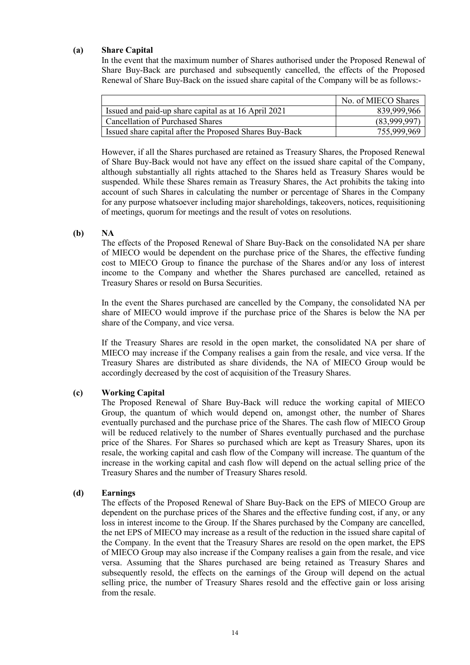#### **(a) Share Capital**

In the event that the maximum number of Shares authorised under the Proposed Renewal of Share Buy-Back are purchased and subsequently cancelled, the effects of the Proposed Renewal of Share Buy-Back on the issued share capital of the Company will be as follows:-

|                                                         | No. of MIECO Shares |
|---------------------------------------------------------|---------------------|
| Issued and paid-up share capital as at 16 April 2021    | 839,999,966         |
| l Cancellation of Purchased Shares                      | (83,999,997)        |
| Issued share capital after the Proposed Shares Buy-Back | 755,999,969         |

However, if all the Shares purchased are retained as Treasury Shares, the Proposed Renewal of Share Buy-Back would not have any effect on the issued share capital of the Company, although substantially all rights attached to the Shares held as Treasury Shares would be suspended. While these Shares remain as Treasury Shares, the Act prohibits the taking into account of such Shares in calculating the number or percentage of Shares in the Company for any purpose whatsoever including major shareholdings, takeovers, notices, requisitioning of meetings, quorum for meetings and the result of votes on resolutions.

# **(b) NA**

The effects of the Proposed Renewal of Share Buy-Back on the consolidated NA per share of MIECO would be dependent on the purchase price of the Shares, the effective funding cost to MIECO Group to finance the purchase of the Shares and/or any loss of interest income to the Company and whether the Shares purchased are cancelled, retained as Treasury Shares or resold on Bursa Securities.

In the event the Shares purchased are cancelled by the Company, the consolidated NA per share of MIECO would improve if the purchase price of the Shares is below the NA per share of the Company, and vice versa.

If the Treasury Shares are resold in the open market, the consolidated NA per share of MIECO may increase if the Company realises a gain from the resale, and vice versa. If the Treasury Shares are distributed as share dividends, the NA of MIECO Group would be accordingly decreased by the cost of acquisition of the Treasury Shares.

# **(c) Working Capital**

The Proposed Renewal of Share Buy-Back will reduce the working capital of MIECO Group, the quantum of which would depend on, amongst other, the number of Shares eventually purchased and the purchase price of the Shares. The cash flow of MIECO Group will be reduced relatively to the number of Shares eventually purchased and the purchase price of the Shares. For Shares so purchased which are kept as Treasury Shares, upon its resale, the working capital and cash flow of the Company will increase. The quantum of the increase in the working capital and cash flow will depend on the actual selling price of the Treasury Shares and the number of Treasury Shares resold.

#### **(d) Earnings**

The effects of the Proposed Renewal of Share Buy-Back on the EPS of MIECO Group are dependent on the purchase prices of the Shares and the effective funding cost, if any, or any loss in interest income to the Group. If the Shares purchased by the Company are cancelled, the net EPS of MIECO may increase as a result of the reduction in the issued share capital of the Company. In the event that the Treasury Shares are resold on the open market, the EPS of MIECO Group may also increase if the Company realises a gain from the resale, and vice versa. Assuming that the Shares purchased are being retained as Treasury Shares and subsequently resold, the effects on the earnings of the Group will depend on the actual selling price, the number of Treasury Shares resold and the effective gain or loss arising from the resale.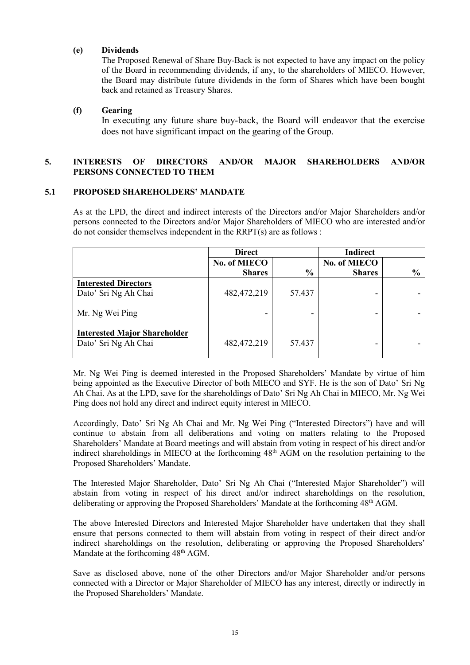# **(e) Dividends**

The Proposed Renewal of Share Buy-Back is not expected to have any impact on the policy of the Board in recommending dividends, if any, to the shareholders of MIECO. However, the Board may distribute future dividends in the form of Shares which have been bought back and retained as Treasury Shares.

# **(f) Gearing**

In executing any future share buy-back, the Board will endeavor that the exercise does not have significant impact on the gearing of the Group.

# **5. INTERESTS OF DIRECTORS AND/OR MAJOR SHAREHOLDERS AND/OR PERSONS CONNECTED TO THEM**

#### **5.1 PROPOSED SHAREHOLDERS' MANDATE**

As at the LPD, the direct and indirect interests of the Directors and/or Major Shareholders and/or persons connected to the Directors and/or Major Shareholders of MIECO who are interested and/or do not consider themselves independent in the RRPT(s) are as follows :

|                                                             | <b>Direct</b> |               | <b>Indirect</b> |               |
|-------------------------------------------------------------|---------------|---------------|-----------------|---------------|
|                                                             | No. of MIECO  |               | No. of MIECO    |               |
|                                                             | <b>Shares</b> | $\frac{6}{6}$ | <b>Shares</b>   | $\frac{6}{6}$ |
| <b>Interested Directors</b><br>Dato' Sri Ng Ah Chai         | 482, 472, 219 | 57.437        | -               |               |
| Mr. Ng Wei Ping                                             |               |               | -               |               |
| <b>Interested Major Shareholder</b><br>Dato' Sri Ng Ah Chai | 482, 472, 219 | 57.437        |                 |               |

Mr. Ng Wei Ping is deemed interested in the Proposed Shareholders' Mandate by virtue of him being appointed as the Executive Director of both MIECO and SYF. He is the son of Dato' Sri Ng Ah Chai. As at the LPD, save for the shareholdings of Dato' Sri Ng Ah Chai in MIECO, Mr. Ng Wei Ping does not hold any direct and indirect equity interest in MIECO.

Accordingly, Dato' Sri Ng Ah Chai and Mr. Ng Wei Ping ("Interested Directors") have and will continue to abstain from all deliberations and voting on matters relating to the Proposed Shareholders' Mandate at Board meetings and will abstain from voting in respect of his direct and/or indirect shareholdings in MIECO at the forthcoming 48<sup>th</sup> AGM on the resolution pertaining to the Proposed Shareholders' Mandate.

The Interested Major Shareholder, Dato' Sri Ng Ah Chai ("Interested Major Shareholder") will abstain from voting in respect of his direct and/or indirect shareholdings on the resolution, deliberating or approving the Proposed Shareholders' Mandate at the forthcoming 48<sup>th</sup> AGM.

The above Interested Directors and Interested Major Shareholder have undertaken that they shall ensure that persons connected to them will abstain from voting in respect of their direct and/or indirect shareholdings on the resolution, deliberating or approving the Proposed Shareholders' Mandate at the forthcoming  $48<sup>th</sup>$  AGM.

Save as disclosed above, none of the other Directors and/or Major Shareholder and/or persons connected with a Director or Major Shareholder of MIECO has any interest, directly or indirectly in the Proposed Shareholders' Mandate.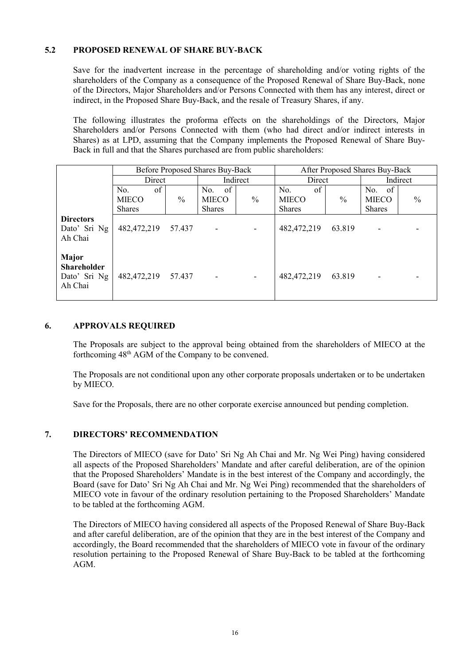# **5.2 PROPOSED RENEWAL OF SHARE BUY-BACK**

Save for the inadvertent increase in the percentage of shareholding and/or voting rights of the shareholders of the Company as a consequence of the Proposed Renewal of Share Buy-Back, none of the Directors, Major Shareholders and/or Persons Connected with them has any interest, direct or indirect, in the Proposed Share Buy-Back, and the resale of Treasury Shares, if any.

The following illustrates the proforma effects on the shareholdings of the Directors, Major Shareholders and/or Persons Connected with them (who had direct and/or indirect interests in Shares) as at LPD, assuming that the Company implements the Proposed Renewal of Share Buy-Back in full and that the Shares purchased are from public shareholders:

|                                                        | Before Proposed Shares Buy-Back |               |                           |               | After Proposed Shares Buy-Back |               |                           |               |
|--------------------------------------------------------|---------------------------------|---------------|---------------------------|---------------|--------------------------------|---------------|---------------------------|---------------|
|                                                        | Direct                          |               | Indirect                  |               | Direct                         |               | Indirect                  |               |
|                                                        | of<br>No.<br><b>MIECO</b>       | $\frac{0}{0}$ | of<br>No.<br><b>MIECO</b> | $\frac{0}{0}$ | of<br>No.<br><b>MIECO</b>      | $\frac{0}{0}$ | of<br>No.<br><b>MIECO</b> | $\frac{0}{0}$ |
|                                                        | <b>Shares</b>                   |               | <b>Shares</b>             |               | <b>Shares</b>                  |               | <b>Shares</b>             |               |
| <b>Directors</b><br>Dato' Sri Ng<br>Ah Chai            | 482, 472, 219                   | 57.437        |                           |               | 482, 472, 219                  | 63.819        |                           |               |
| Major<br><b>Shareholder</b><br>Dato' Sri Ng<br>Ah Chai | 482, 472, 219 57. 437           |               | ۰                         |               | 482, 472, 219                  | 63.819        |                           |               |

#### **6. APPROVALS REQUIRED**

The Proposals are subject to the approval being obtained from the shareholders of MIECO at the forthcoming 48th AGM of the Company to be convened.

The Proposals are not conditional upon any other corporate proposals undertaken or to be undertaken by MIECO.

Save for the Proposals, there are no other corporate exercise announced but pending completion.

#### **7. DIRECTORS' RECOMMENDATION**

The Directors of MIECO (save for Dato' Sri Ng Ah Chai and Mr. Ng Wei Ping) having considered all aspects of the Proposed Shareholders' Mandate and after careful deliberation, are of the opinion that the Proposed Shareholders' Mandate is in the best interest of the Company and accordingly, the Board (save for Dato' Sri Ng Ah Chai and Mr. Ng Wei Ping) recommended that the shareholders of MIECO vote in favour of the ordinary resolution pertaining to the Proposed Shareholders' Mandate to be tabled at the forthcoming AGM.

The Directors of MIECO having considered all aspects of the Proposed Renewal of Share Buy-Back and after careful deliberation, are of the opinion that they are in the best interest of the Company and accordingly, the Board recommended that the shareholders of MIECO vote in favour of the ordinary resolution pertaining to the Proposed Renewal of Share Buy-Back to be tabled at the forthcoming AGM.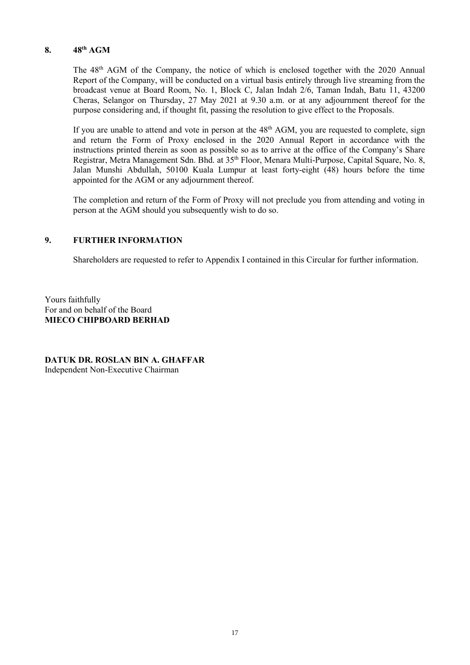# **8. 48th AGM**

The 48<sup>th</sup> AGM of the Company, the notice of which is enclosed together with the 2020 Annual Report of the Company, will be conducted on a virtual basis entirely through live streaming from the broadcast venue at Board Room, No. 1, Block C, Jalan Indah 2/6, Taman Indah, Batu 11, 43200 Cheras, Selangor on Thursday, 27 May 2021 at 9.30 a.m. or at any adjournment thereof for the purpose considering and, if thought fit, passing the resolution to give effect to the Proposals.

If you are unable to attend and vote in person at the  $48<sup>th</sup>$  AGM, you are requested to complete, sign and return the Form of Proxy enclosed in the 2020 Annual Report in accordance with the instructions printed therein as soon as possible so as to arrive at the office of the Company's Share Registrar, Metra Management Sdn. Bhd. at 35th Floor, Menara Multi-Purpose, Capital Square, No. 8, Jalan Munshi Abdullah, 50100 Kuala Lumpur at least forty-eight (48) hours before the time appointed for the AGM or any adjournment thereof.

The completion and return of the Form of Proxy will not preclude you from attending and voting in person at the AGM should you subsequently wish to do so.

# **9. FURTHER INFORMATION**

Shareholders are requested to refer to Appendix I contained in this Circular for further information.

Yours faithfully For and on behalf of the Board **MIECO CHIPBOARD BERHAD**

**DATUK DR. ROSLAN BIN A. GHAFFAR** Independent Non-Executive Chairman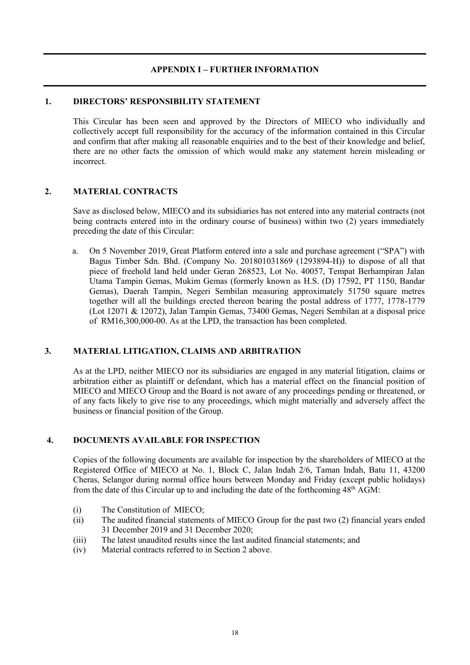# **APPENDIX I – FURTHER INFORMATION**

## **1. DIRECTORS' RESPONSIBILITY STATEMENT**

This Circular has been seen and approved by the Directors of MIECO who individually and collectively accept full responsibility for the accuracy of the information contained in this Circular and confirm that after making all reasonable enquiries and to the best of their knowledge and belief, there are no other facts the omission of which would make any statement herein misleading or incorrect.

# **2. MATERIAL CONTRACTS**

Save as disclosed below, MIECO and its subsidiaries has not entered into any material contracts (not being contracts entered into in the ordinary course of business) within two (2) years immediately preceding the date of this Circular:

a. On 5 November 2019, Great Platform entered into a sale and purchase agreement ("SPA") with Bagus Timber Sdn. Bhd. (Company No. 201801031869 (1293894-H)) to dispose of all that piece of freehold land held under Geran 268523, Lot No. 40057, Tempat Berhampiran Jalan Utama Tampin Gemas, Mukim Gemas (formerly known as H.S. (D) 17592, PT 1150, Bandar Gemas), Daerah Tampin, Negeri Sembilan measuring approximately 51750 square metres together will all the buildings erected thereon bearing the postal address of 1777, 1778-1779 (Lot 12071 & 12072), Jalan Tampin Gemas, 73400 Gemas, Negeri Sembilan at a disposal price of RM16,300,000-00. As at the LPD, the transaction has been completed.

# **3. MATERIAL LITIGATION, CLAIMS AND ARBITRATION**

As at the LPD, neither MIECO nor its subsidiaries are engaged in any material litigation, claims or arbitration either as plaintiff or defendant, which has a material effect on the financial position of MIECO and MIECO Group and the Board is not aware of any proceedings pending or threatened, or of any facts likely to give rise to any proceedings, which might materially and adversely affect the business or financial position of the Group.

# **4. DOCUMENTS AVAILABLE FOR INSPECTION**

Copies of the following documents are available for inspection by the shareholders of MIECO at the Registered Office of MIECO at No. 1, Block C, Jalan Indah 2/6, Taman Indah, Batu 11, 43200 Cheras, Selangor during normal office hours between Monday and Friday (except public holidays) from the date of this Circular up to and including the date of the forthcoming  $48<sup>th</sup>$  AGM:

- (i) The Constitution of MIECO;
- (ii) The audited financial statements of MIECO Group for the past two (2) financial years ended 31 December 2019 and 31 December 2020;
- (iii) The latest unaudited results since the last audited financial statements; and
- (iv) Material contracts referred to in Section 2 above.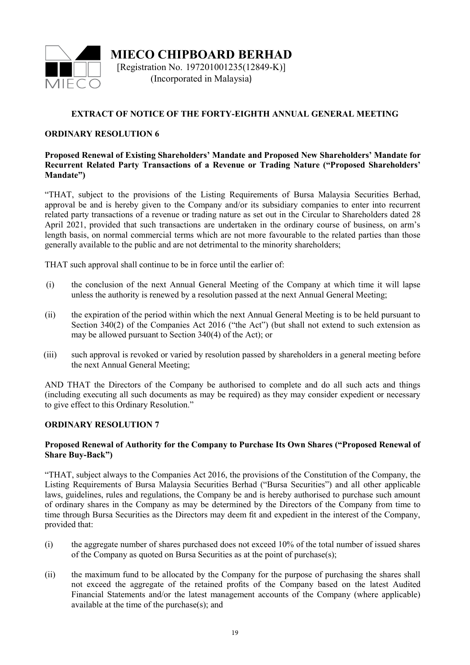

**MIECO CHIPBOARD BERHAD** [Registration No. 197201001235(12849-K)] (Incorporated in Malaysia)

# **EXTRACT OF NOTICE OF THE FORTY-EIGHTH ANNUAL GENERAL MEETING**

# **ORDINARY RESOLUTION 6**

## **Proposed Renewal of Existing Shareholders' Mandate and Proposed New Shareholders' Mandate for Recurrent Related Party Transactions of a Revenue or Trading Nature ("Proposed Shareholders' Mandate")**

"THAT, subject to the provisions of the Listing Requirements of Bursa Malaysia Securities Berhad, approval be and is hereby given to the Company and/or its subsidiary companies to enter into recurrent related party transactions of a revenue or trading nature as set out in the Circular to Shareholders dated 28 April 2021, provided that such transactions are undertaken in the ordinary course of business, on arm's length basis, on normal commercial terms which are not more favourable to the related parties than those generally available to the public and are not detrimental to the minority shareholders;

THAT such approval shall continue to be in force until the earlier of:

- (i) the conclusion of the next Annual General Meeting of the Company at which time it will lapse unless the authority is renewed by a resolution passed at the next Annual General Meeting;
- (ii) the expiration of the period within which the next Annual General Meeting is to be held pursuant to Section 340(2) of the Companies Act 2016 ("the Act") (but shall not extend to such extension as may be allowed pursuant to Section 340(4) of the Act); or
- (iii) such approval is revoked or varied by resolution passed by shareholders in a general meeting before the next Annual General Meeting;

AND THAT the Directors of the Company be authorised to complete and do all such acts and things (including executing all such documents as may be required) as they may consider expedient or necessary to give effect to this Ordinary Resolution."

# **ORDINARY RESOLUTION 7**

# **Proposed Renewal of Authority for the Company to Purchase Its Own Shares ("Proposed Renewal of Share Buy-Back")**

"THAT, subject always to the Companies Act 2016, the provisions of the Constitution of the Company, the Listing Requirements of Bursa Malaysia Securities Berhad ("Bursa Securities") and all other applicable laws, guidelines, rules and regulations, the Company be and is hereby authorised to purchase such amount of ordinary shares in the Company as may be determined by the Directors of the Company from time to time through Bursa Securities as the Directors may deem fit and expedient in the interest of the Company, provided that:

- (i) the aggregate number of shares purchased does not exceed 10% of the total number of issued shares of the Company as quoted on Bursa Securities as at the point of purchase(s);
- (ii) the maximum fund to be allocated by the Company for the purpose of purchasing the shares shall not exceed the aggregate of the retained profits of the Company based on the latest Audited Financial Statements and/or the latest management accounts of the Company (where applicable) available at the time of the purchase(s); and